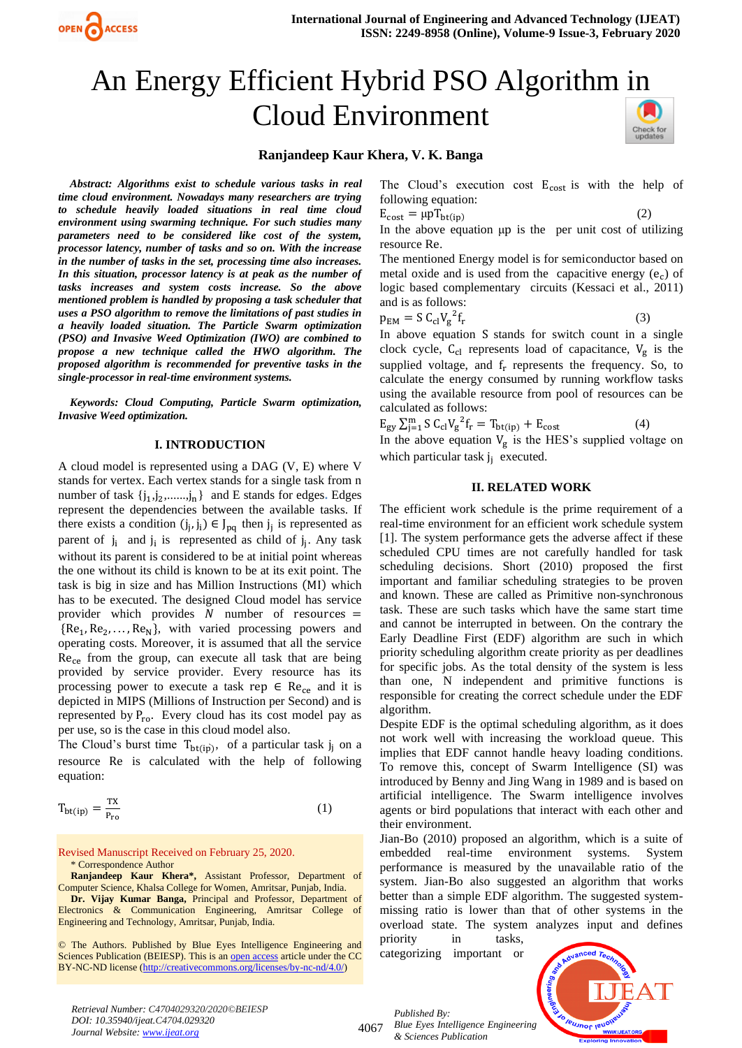

# An Energy Efficient Hybrid PSO Algorithm in Cloud Environment Check for<br>updates

# **Ranjandeep Kaur Khera, V. K. Banga**

*Abstract: Algorithms exist to schedule various tasks in real time cloud environment. Nowadays many researchers are trying to schedule heavily loaded situations in real time cloud environment using swarming technique. For such studies many parameters need to be considered like cost of the system, processor latency, number of tasks and so on. With the increase in the number of tasks in the set, processing time also increases. In this situation, processor latency is at peak as the number of tasks increases and system costs increase. So the above mentioned problem is handled by proposing a task scheduler that uses a PSO algorithm to remove the limitations of past studies in a heavily loaded situation. The Particle Swarm optimization (PSO) and Invasive Weed Optimization (IWO) are combined to propose a new technique called the HWO algorithm. The proposed algorithm is recommended for preventive tasks in the single-processor in real-time environment systems.* 

*Keywords: Cloud Computing, Particle Swarm optimization, Invasive Weed optimization.*

### **I. INTRODUCTION**

A cloud model is represented using a DAG (V, E) where V stands for vertex. Each vertex stands for a single task from n number of task  $\{j_1, j_2, \ldots, j_n\}$  and E stands for edges. Edges represent the dependencies between the available tasks. If there exists a condition  $(j_j, j_i) \in J_{pq}$  then  $j_j$  is represented as parent of  $j_i$  and  $j_i$  is represented as child of  $j_j$ . Any task without its parent is considered to be at initial point whereas the one without its child is known to be at its exit point. The task is big in size and has Million Instructions (MI) which has to be executed. The designed Cloud model has service provider which provides  $N$  number of resources =  ${Re<sub>1</sub>, Re<sub>2</sub>, ..., Re<sub>N</sub>}$ , with varied processing powers and operating costs. Moreover, it is assumed that all the service  $Re<sub>ce</sub>$  from the group, can execute all task that are being provided by service provider. Every resource has its processing power to execute a task rep  $\in$  Re<sub>ce</sub> and it is depicted in MIPS (Millions of Instruction per Second) and is represented by  $P_{ro}$ . Every cloud has its cost model pay as per use, so is the case in this cloud model also.

The Cloud's burst time  $T_{bt(ip)}$ , of a particular task  $j_j$  on a resource Re is calculated with the help of following equation:

$$
T_{bt(ip)} = \frac{TX}{P_{ro}}
$$
 (1)

Revised Manuscript Received on February 25, 2020. \* Correspondence Author

**Ranjandeep Kaur Khera\*,** Assistant Professor, Department of Computer Science, Khalsa College for Women, Amritsar, Punjab, India.

**Dr. Vijay Kumar Banga,** Principal and Professor, Department of Electronics & Communication Engineering, Amritsar College of Engineering and Technology, Amritsar, Punjab, India.

© The Authors. Published by Blue Eyes Intelligence Engineering and Sciences Publication (BEIESP). This is a[n open access](https://www.openaccess.nl/en/open-publications) article under the CC BY-NC-ND license [\(http://creativecommons.org/licenses/by-nc-nd/4.0/\)](http://creativecommons.org/licenses/by-nc-nd/4.0/)

The Cloud's execution cost  $E_{\text{cost}}$  is with the help of following equation:

 $E_{cost} = \mu p T_{bt(ip)}$ (2)

In the above equation μp is the per unit cost of utilizing resource Re.

The mentioned Energy model is for semiconductor based on metal oxide and is used from the capacitive energy  $(e_c)$  of logic based complementary circuits (Kessaci et al., 2011) and is as follows:

$$
p_{EM} = S C_{cl} V_g^{2} f_r \tag{3}
$$

In above equation S stands for switch count in a single clock cycle,  $C_{cl}$  represents load of capacitance,  $V_g$  is the supplied voltage, and  $f_r$  represents the frequency. So, to calculate the energy consumed by running workflow tasks using the available resource from pool of resources can be calculated as follows:

$$
E_{gy} \sum_{j=1}^{m} S C_{cl} V_{g}^{2} f_{r} = T_{bt(ip)} + E_{cost}
$$
 (4)

In the above equation  $V_g$  is the HES's supplied voltage on which particular task  $j_j$  executed.

# **II. RELATED WORK**

The efficient work schedule is the prime requirement of a real-time environment for an efficient work schedule system [1]. The system performance gets the adverse affect if these scheduled CPU times are not carefully handled for task scheduling decisions. Short (2010) proposed the first important and familiar scheduling strategies to be proven and known. These are called as Primitive non-synchronous task. These are such tasks which have the same start time and cannot be interrupted in between. On the contrary the Early Deadline First (EDF) algorithm are such in which priority scheduling algorithm create priority as per deadlines for specific jobs. As the total density of the system is less than one, N independent and primitive functions is responsible for creating the correct schedule under the EDF algorithm.

Despite EDF is the optimal scheduling algorithm, as it does not work well with increasing the workload queue. This implies that EDF cannot handle heavy loading conditions. To remove this, concept of Swarm Intelligence (SI) was introduced by Benny and Jing Wang in 1989 and is based on artificial intelligence. The Swarm intelligence involves agents or bird populations that interact with each other and their environment.

Jian-Bo (2010) proposed an algorithm, which is a suite of embedded real-time environment systems. System performance is measured by the unavailable ratio of the system. Jian-Bo also suggested an algorithm that works better than a simple EDF algorithm. The suggested systemmissing ratio is lower than that of other systems in the overload state. The system analyzes input and defines priority in tasks,

categorizing important or



*Retrieval Number: C4704029320/2020©BEIESP DOI: 10.35940/ijeat.C4704.029320 Journal Website[: www.ijeat.org](http://www.ijeat.org/)*

4067

*Published By: Blue Eyes Intelligence Engineering & Sciences Publication*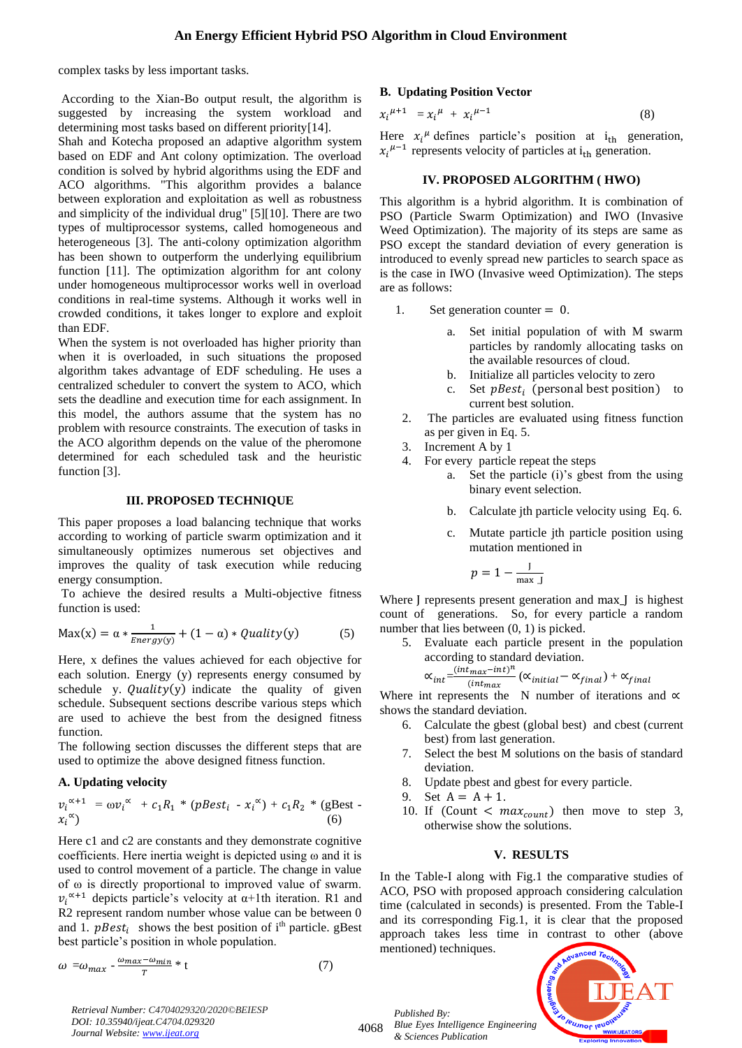complex tasks by less important tasks.

According to the Xian-Bo output result, the algorithm is suggested by increasing the system workload and determining most tasks based on different priority[14].

Shah and Kotecha proposed an adaptive algorithm system based on EDF and Ant colony optimization. The overload condition is solved by hybrid algorithms using the EDF and ACO algorithms. "This algorithm provides a balance between exploration and exploitation as well as robustness and simplicity of the individual drug" [5][10]. There are two types of multiprocessor systems, called homogeneous and heterogeneous [3]. The anti-colony optimization algorithm has been shown to outperform the underlying equilibrium function [11]. The optimization algorithm for ant colony under homogeneous multiprocessor works well in overload conditions in real-time systems. Although it works well in crowded conditions, it takes longer to explore and exploit than EDF.

When the system is not overloaded has higher priority than when it is overloaded, in such situations the proposed algorithm takes advantage of EDF scheduling. He uses a centralized scheduler to convert the system to ACO, which sets the deadline and execution time for each assignment. In this model, the authors assume that the system has no problem with resource constraints. The execution of tasks in the ACO algorithm depends on the value of the pheromone determined for each scheduled task and the heuristic function [3].

# **III. PROPOSED TECHNIQUE**

This paper proposes a load balancing technique that works according to working of particle swarm optimization and it simultaneously optimizes numerous set objectives and improves the quality of task execution while reducing energy consumption.

To achieve the desired results a Multi-objective fitness function is used:

$$
Max(x) = \alpha * \frac{1}{Energy(y)} + (1 - \alpha) * Quality(y)
$$
 (5)

Here, x defines the values achieved for each objective for each solution. Energy (y) represents energy consumed by schedule y.  $Quality(y)$  indicate the quality of given schedule. Subsequent sections describe various steps which are used to achieve the best from the designed fitness function.

The following section discusses the different steps that are used to optimize the above designed fitness function.

#### **A. Updating velocity**

$$
v_i^{\alpha+1} = \omega v_i^{\alpha} + c_1 R_1 * (pBest_i - x_i^{\alpha}) + c_1 R_2 * (gBest - x_i^{\alpha})
$$
\n
$$
(6)
$$

Here c1 and c2 are constants and they demonstrate cognitive coefficients. Here inertia weight is depicted using ω and it is used to control movement of a particle. The change in value of ω is directly proportional to improved value of swarm.  $v_i^{\alpha+1}$  depicts particle's velocity at  $\alpha+1$ th iteration. R1 and R2 represent random number whose value can be between 0 and 1.  $pBest_i$  shows the best position of i<sup>th</sup> particle. gBest best particle's position in whole population.

$$
\omega = \omega_{max} - \frac{\omega_{max} - \omega_{min}}{T} * t \tag{7}
$$

**B. Updating Position Vector**

$$
x_i^{\mu+1} = x_i^{\mu} + x_i^{\mu-1} \tag{8}
$$

Here  $x_i^{\mu}$  defines particle's position at  $i_{th}$  generation,  $x_i^{\mu-1}$  represents velocity of particles at i<sub>th</sub> generation.

#### **IV. PROPOSED ALGORITHM ( HWO)**

This algorithm is a hybrid algorithm. It is combination of PSO (Particle Swarm Optimization) and IWO (Invasive Weed Optimization). The majority of its steps are same as PSO except the standard deviation of every generation is introduced to evenly spread new particles to search space as is the case in IWO (Invasive weed Optimization). The steps are as follows:

- 1. Set generation counter = 0.
	- a. Set initial population of with M swarm particles by randomly allocating tasks on the available resources of cloud.
	- b. Initialize all particles velocity to zero
	- c. Set  $pBest_i$  (personal best position) to current best solution.
- 2. The particles are evaluated using fitness function as per given in Eq. 5.
- 3. Increment A by 1
- 4. For every particle repeat the steps
	- a. Set the particle (i)'s gbest from the using binary event selection.
	- b. Calculate jth particle velocity using Eq. 6.
	- c. Mutate particle jth particle position using mutation mentioned in

$$
p=1-\frac{J}{\max J}
$$

Where J represents present generation and max\_J is highest count of generations. So, for every particle a random number that lies between  $(0, 1)$  is picked.

5. Evaluate each particle present in the population according to standard deviation.

$$
\alpha_{int}\!\!=\!\!\frac{(int_{max}\!-\!int)^n}{(int_{max}}\left(\alpha_{initial}\!-\!\alpha_{final}\right)+\alpha_{final}
$$

Where int represents the N number of iterations and  $\alpha$ shows the standard deviation.

- 6. Calculate the gbest (global best) and cbest (current best) from last generation.
- 7. Select the best M solutions on the basis of standard deviation.
- 8. Update pbest and gbest for every particle.
- 9. Set  $A = A + 1$ .
- 10. If (Count  $\langle max_{count} \rangle$  then move to step 3, otherwise show the solutions.

#### **V. RESULTS**

In the Table-I along with Fig.1 the comparative studies of ACO, PSO with proposed approach considering calculation time (calculated in seconds) is presented. From the Table-I and its corresponding Fig.1, it is clear that the proposed approach takes less time in contrast to other (above mentioned) techniques.



*Retrieval Number: C4704029320/2020©BEIESP DOI: 10.35940/ijeat.C4704.029320 Journal Website[: www.ijeat.org](http://www.ijeat.org/)*

4068 *Blue Eyes Intelligence Engineering* 

*Published By:*

*& Sciences Publication*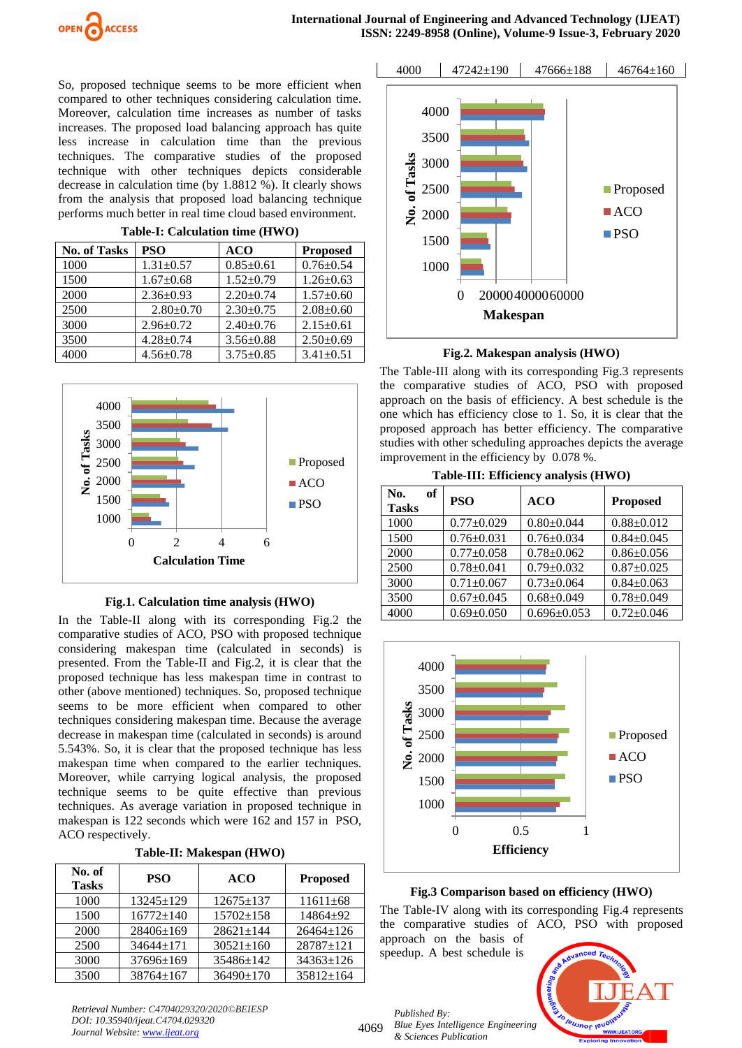So, proposed technique seems to be more efficient when compared to other techniques considering calculation time. Moreover, calculation time increases as number of tasks increases. The proposed load balancing approach has quite less increase in calculation time than the previous techniques. The comparative studies of the proposed technique with other techniques depicts considerable decrease in calculation time (by 1.8812 %). It clearly shows from the analysis that proposed load balancing technique performs much better in real time cloud based environment.

**Table-I: Calculation time (HWO)**

| <b>No. of Tasks</b> | <b>PSO</b>      | <b>ACO</b>      | <b>Proposed</b> |
|---------------------|-----------------|-----------------|-----------------|
| 1000                | $1.31 \pm 0.57$ | $0.85 \pm 0.61$ | $0.76 \pm 0.54$ |
| 1500                | $1.67 \pm 0.68$ | $1.52+0.79$     | $1.26 \pm 0.63$ |
| 2000                | $2.36 \pm 0.93$ | $2.20+0.74$     | $1.57 \pm 0.60$ |
| 2500                | $2.80 \pm 0.70$ | $2.30 \pm 0.75$ | $2.08 \pm 0.60$ |
| 3000                | $2.96 \pm 0.72$ | $2.40 \pm 0.76$ | $2.15 \pm 0.61$ |
| 3500                | $4.28 \pm 0.74$ | $3.56 \pm 0.88$ | $2.50 \pm 0.69$ |
| 4000                | $4.56 \pm 0.78$ | $3.75 \pm 0.85$ | $3.41 \pm 0.51$ |



**Fig.1. Calculation time analysis (HWO)**

In the Table-II along with its corresponding Fig.2 the comparative studies of ACO, PSO with proposed technique considering makespan time (calculated in seconds) is presented. From the Table-II and Fig.2, it is clear that the proposed technique has less makespan time in contrast to other (above mentioned) techniques. So, proposed technique seems to be more efficient when compared to other techniques considering makespan time. Because the average decrease in makespan time (calculated in seconds) is around 5.543%. So, it is clear that the proposed technique has less makespan time when compared to the earlier techniques. Moreover, while carrying logical analysis, the proposed technique seems to be quite effective than previous techniques. As average variation in proposed technique in makespan is 122 seconds which were 162 and 157 in PSO, ACO respectively.

**Table-II: Makespan (HWO)**

| No. of<br><b>Tasks</b> | <b>PSO</b>      | <b>ACO</b>      | <b>Proposed</b> |
|------------------------|-----------------|-----------------|-----------------|
| 1000                   | $13245 \pm 129$ | $12675 \pm 137$ | $11611\pm 68$   |
| 1500                   | $16772 \pm 140$ | $15702+158$     | $14864 + 92$    |
| 2000                   | 28406±169       | $28621 \pm 144$ | $26464 \pm 126$ |
| 2500                   | $34644+171$     | $30521 \pm 160$ | 28787±121       |
| 3000                   | $37696 \pm 169$ | 35486±142       | $34363 \pm 126$ |
| 3500                   | 38764±167       | $36490 \pm 170$ | 35812±164       |

*Retrieval Number: C4704029320/2020©BEIESP DOI: 10.35940/ijeat.C4704.029320 Journal Website[: www.ijeat.org](http://www.ijeat.org/)*



4000 47242±190 47666±188 46764±160 0 200004000060000 1000 1500 2000 2500 3000 3500 4000 **No. of Tasks Proposed**  $\blacksquare$ ACO ■PSO



**Makespan**

The Table-III along with its corresponding Fig.3 represents the comparative studies of ACO, PSO with proposed approach on the basis of efficiency. A best schedule is the one which has efficiency close to 1. So, it is clear that the proposed approach has better efficiency. The comparative studies with other scheduling approaches depicts the average improvement in the efficiency by 0.078 %.

**Table-III: Efficiency analysis (HWO)**

| of<br>No.<br><b>Tasks</b> | <b>PSO</b>       | <b>ACO</b>        | <b>Proposed</b>  |
|---------------------------|------------------|-------------------|------------------|
| 1000                      | $0.77 \pm 0.029$ | $0.80 \pm 0.044$  | $0.88 \pm 0.012$ |
| 1500                      | $0.76 \pm 0.031$ | $0.76 \pm 0.034$  | $0.84 \pm 0.045$ |
| 2000                      | $0.77 \pm 0.058$ | $0.78 \pm 0.062$  | $0.86 \pm 0.056$ |
| 2500                      | $0.78 \pm 0.041$ | $0.79 \pm 0.032$  | $0.87 \pm 0.025$ |
| 3000                      | $0.71 \pm 0.067$ | $0.73 \pm 0.064$  | $0.84 \pm 0.063$ |
| 3500                      | $0.67 \pm 0.045$ | $0.68 \pm 0.049$  | $0.78 \pm 0.049$ |
| 4000                      | $0.69 \pm 0.050$ | $0.696 \pm 0.053$ | $0.72 \pm 0.046$ |



# **Fig.3 Comparison based on efficiency (HWO)**

The Table-IV along with its corresponding Fig.4 represents the comparative studies of ACO, PSO with proposed approach on the basis of

speedup. A best schedule is



*Published By: Blue Eyes Intelligence Engineering & Sciences Publication*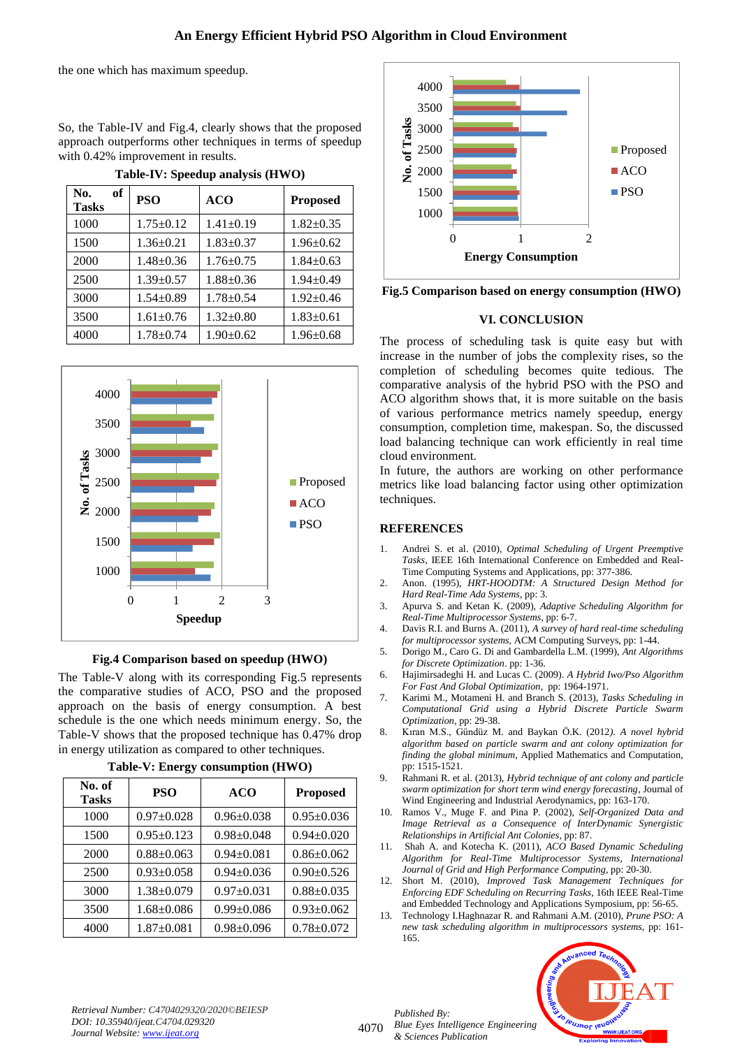# **An Energy Efficient Hybrid PSO Algorithm in Cloud Environment**

the one which has maximum speedup.

So, the Table-IV and Fig.4, clearly shows that the proposed approach outperforms other techniques in terms of speedup with 0.42% improvement in results.

| of<br>No.<br><b>Tasks</b> | <b>PSO</b>      | <b>ACO</b>      | <b>Proposed</b> |
|---------------------------|-----------------|-----------------|-----------------|
| 1000                      | $1.75 \pm 0.12$ | $1.41 \pm 0.19$ | $1.82 \pm 0.35$ |
| 1500                      | $1.36 \pm 0.21$ | $1.83 \pm 0.37$ | $1.96 \pm 0.62$ |
| 2000                      | $1.48 \pm 0.36$ | $1.76 \pm 0.75$ | $1.84 \pm 0.63$ |
| 2500                      | $1.39 \pm 0.57$ | $1.88 \pm 0.36$ | $1.94 \pm 0.49$ |
| 3000                      | $1.54 + 0.89$   | $1.78 + 0.54$   | $1.92 \pm 0.46$ |
| 3500                      | $1.61 \pm 0.76$ | $1.32 \pm 0.80$ | $1.83 \pm 0.61$ |
| 4000                      | $1.78 \pm 0.74$ | $1.90+0.62$     | $1.96 \pm 0.68$ |

**Table-IV: Speedup analysis (HWO)**



**Fig.4 Comparison based on speedup (HWO)**

The Table-V along with its corresponding Fig.5 represents the comparative studies of ACO, PSO and the proposed approach on the basis of energy consumption. A best schedule is the one which needs minimum energy. So, the Table-V shows that the proposed technique has 0.47% drop in energy utilization as compared to other techniques.

| No. of<br><b>Tasks</b> | PSO              | <b>ACO</b>       | <b>Proposed</b>  |
|------------------------|------------------|------------------|------------------|
| 1000                   | $0.97 \pm 0.028$ | $0.96 \pm 0.038$ | $0.95 \pm 0.036$ |
| 1500                   | $0.95 \pm 0.123$ | $0.98 \pm 0.048$ | $0.94 \pm 0.020$ |
| 2000                   | $0.88 \pm 0.063$ | $0.94 \pm 0.081$ | $0.86 \pm 0.062$ |
| 2500                   | $0.93 \pm 0.058$ | $0.94 \pm 0.036$ | $0.90 \pm 0.526$ |
| 3000                   | $1.38 \pm 0.079$ | $0.97 \pm 0.031$ | $0.88 \pm 0.035$ |
| 3500                   | $1.68 \pm 0.086$ | $0.99 \pm 0.086$ | $0.93 \pm 0.062$ |
| 4000                   | $1.87 \pm 0.081$ | $0.98 \pm 0.096$ | $0.78 \pm 0.072$ |

**Table-V: Energy consumption (HWO)**



**Fig.5 Comparison based on energy consumption (HWO)**

# **VI. CONCLUSION**

The process of scheduling task is quite easy but with increase in the number of jobs the complexity rises, so the completion of scheduling becomes quite tedious. The comparative analysis of the hybrid PSO with the PSO and ACO algorithm shows that, it is more suitable on the basis of various performance metrics namely speedup, energy consumption, completion time, makespan. So, the discussed load balancing technique can work efficiently in real time cloud environment.

In future, the authors are working on other performance metrics like load balancing factor using other optimization techniques.

# **REFERENCES**

- 1. Andrei S. et al. (2010), *Optimal Scheduling of Urgent Preemptive Tasks*, IEEE 16th International Conference on Embedded and Real-Time Computing Systems and Applications, pp: 377-386.
- 2. Anon. (1995), *HRT-HOODTM: A Structured Design Method for Hard Real-Time Ada Systems*, pp: 3.
- 3. Apurva S. and Ketan K. (2009), *Adaptive Scheduling Algorithm for Real-Time Multiprocessor Systems*, pp: 6-7.
- 4. Davis R.I. and Burns A. (2011), *A survey of hard real-time scheduling for multiprocessor systems*, ACM Computing Surveys, pp: 1-44.
- 5. Dorigo M., Caro G. Di and Gambardella L.M. (1999), *Ant Algorithms for Discrete Optimization*. pp: 1-36.
- 6. Hajimirsadeghi H. and Lucas C. (2009). *A Hybrid Iwo/Pso Algorithm For Fast And Global Optimization*, pp: 1964-1971.
- 7. Karimi M., Motameni H. and Branch S. (2013), *Tasks Scheduling in Computational Grid using a Hybrid Discrete Particle Swarm Optimization*, pp: 29-38.
- 8. Kıran M.S., Gündüz M. and Baykan Ö.K. (2012*). A novel hybrid algorithm based on particle swarm and ant colony optimization for finding the global minimum*, Applied Mathematics and Computation, pp: 1515-1521.
- 9. Rahmani R. et al. (2013), *Hybrid technique of ant colony and particle swarm optimization for short term wind energy forecasting*, Journal of Wind Engineering and Industrial Aerodynamics, pp: 163-170.
- 10. Ramos V., Muge F. and Pina P. (2002), *Self-Organized Data and Image Retrieval as a Consequence of InterDynamic Synergistic Relationships in Artificial Ant Colonies*, pp: 87.
- 11. Shah A. and Kotecha K. (2011), *ACO Based Dynamic Scheduling Algorithm for Real-Time Multiprocessor Systems, International Journal of Grid and High Performance Computing*, pp: 20-30.
- 12. Short M. (2010), *Improved Task Management Techniques for Enforcing EDF Scheduling on Recurring Tasks,* 16th IEEE Real-Time and Embedded Technology and Applications Symposium, pp: 56-65.
- 13. Technology I.Haghnazar R. and Rahmani A.M. (2010), *Prune PSO: A new task scheduling algorithm in multiprocessors systems*, pp: 161- 165.



*Retrieval Number: C4704029320/2020©BEIESP DOI: 10.35940/ijeat.C4704.029320 Journal Website[: www.ijeat.org](http://www.ijeat.org/)*

4070

*Published By: Blue Eyes Intelligence Engineering & Sciences Publication*